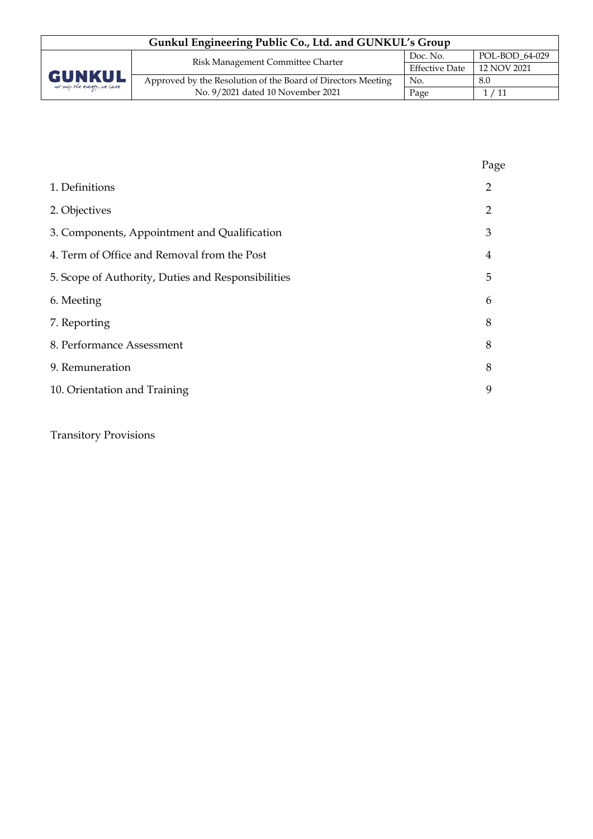| Gunkul Engineering Public Co., Ltd. and GUNKUL's Group |                                                              |                       |                  |  |  |
|--------------------------------------------------------|--------------------------------------------------------------|-----------------------|------------------|--|--|
|                                                        | Risk Management Committee Charter                            | Doc. No.              | $POL-BOD 64-029$ |  |  |
| <b>GUNKUL</b><br>not only the energy, we care          |                                                              | <b>Effective Date</b> | 12 NOV 2021      |  |  |
|                                                        | Approved by the Resolution of the Board of Directors Meeting | No.                   | 8.0              |  |  |
|                                                        | No. 9/2021 dated 10 November 2021                            | Page                  | 1/11             |  |  |

|                                                    | Page           |
|----------------------------------------------------|----------------|
| 1. Definitions                                     | 2              |
| 2. Objectives                                      | $\overline{2}$ |
| 3. Components, Appointment and Qualification       | 3              |
| 4. Term of Office and Removal from the Post        | 4              |
| 5. Scope of Authority, Duties and Responsibilities | 5              |
| 6. Meeting                                         | 6              |
| 7. Reporting                                       | 8              |
| 8. Performance Assessment                          | 8              |
| 9. Remuneration                                    | 8              |
| 10. Orientation and Training                       | 9              |
|                                                    |                |

Transitory Provisions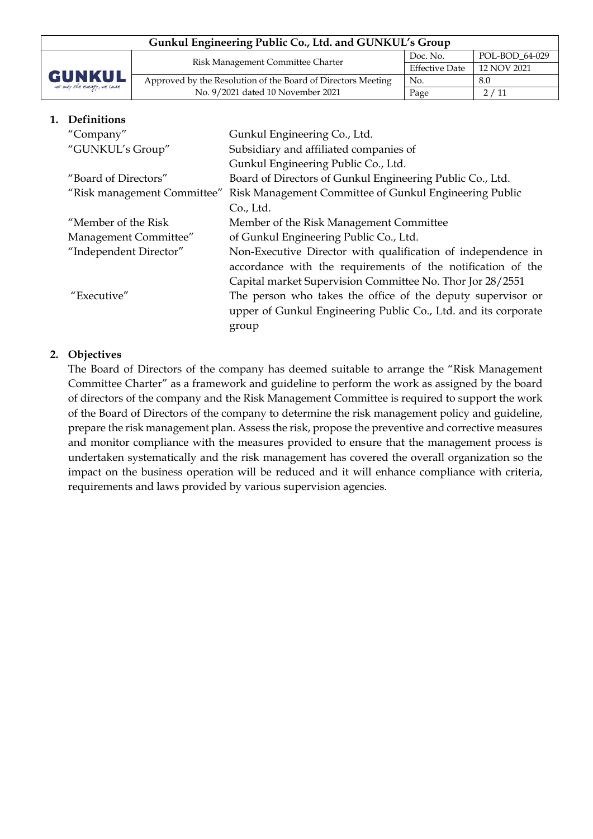| Gunkul Engineering Public Co., Ltd. and GUNKUL's Group |                                                              |                       |                |  |  |
|--------------------------------------------------------|--------------------------------------------------------------|-----------------------|----------------|--|--|
| <b>GUNKUL</b><br>not only the energy, we care          | Risk Management Committee Charter                            | Doc. No.              | POL-BOD 64-029 |  |  |
|                                                        |                                                              | <b>Effective Date</b> | 12 NOV 2021    |  |  |
|                                                        | Approved by the Resolution of the Board of Directors Meeting | No.                   | 8.0            |  |  |
|                                                        | No. 9/2021 dated 10 November 2021                            | Page                  | 2/11           |  |  |

#### **1. Definitions**

| "Company"                   | Gunkul Engineering Co., Ltd.                                   |  |  |
|-----------------------------|----------------------------------------------------------------|--|--|
| "GUNKUL's Group"            | Subsidiary and affiliated companies of                         |  |  |
|                             | Gunkul Engineering Public Co., Ltd.                            |  |  |
| "Board of Directors"        | Board of Directors of Gunkul Engineering Public Co., Ltd.      |  |  |
| "Risk management Committee" | Risk Management Committee of Gunkul Engineering Public         |  |  |
|                             | Co., Ltd.                                                      |  |  |
| "Member of the Risk         | Member of the Risk Management Committee                        |  |  |
| Management Committee"       | of Gunkul Engineering Public Co., Ltd.                         |  |  |
| "Independent Director"      | Non-Executive Director with qualification of independence in   |  |  |
|                             | accordance with the requirements of the notification of the    |  |  |
|                             | Capital market Supervision Committee No. Thor Jor 28/2551      |  |  |
| "Executive"                 | The person who takes the office of the deputy supervisor or    |  |  |
|                             | upper of Gunkul Engineering Public Co., Ltd. and its corporate |  |  |
|                             | group                                                          |  |  |

#### **2. Objectives**

The Board of Directors of the company has deemed suitable to arrange the "Risk Management Committee Charter" as a framework and guideline to perform the work as assigned by the board of directors of the company and the Risk Management Committee is required to support the work of the Board of Directors of the company to determine the risk management policy and guideline, prepare the risk management plan. Assess the risk, propose the preventive and corrective measures and monitor compliance with the measures provided to ensure that the management process is undertaken systematically and the risk management has covered the overall organization so the impact on the business operation will be reduced and it will enhance compliance with criteria, requirements and laws provided by various supervision agencies.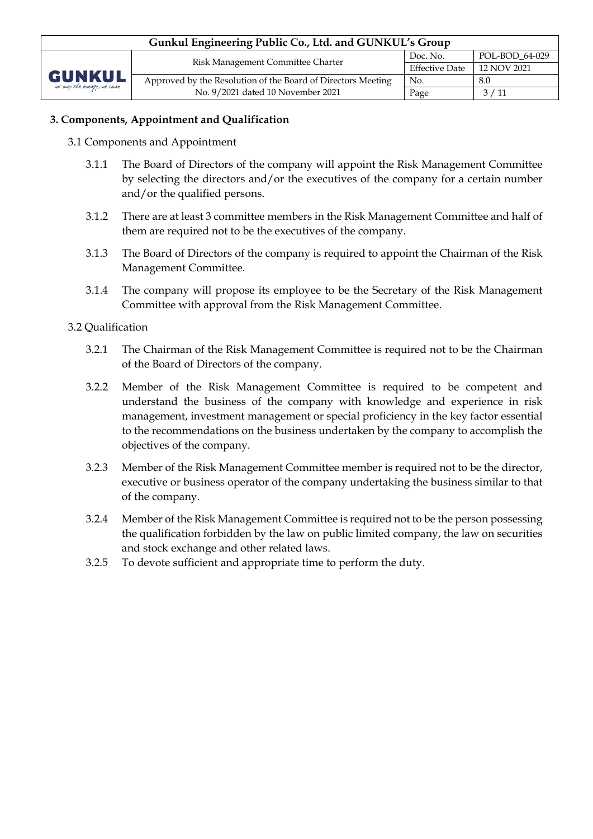## **3. Components, Appointment and Qualification**

- 3.1 Components and Appointment
	- 3.1.1 The Board of Directors of the company will appoint the Risk Management Committee by selecting the directors and/or the executives of the company for a certain number and/or the qualified persons.
	- 3.1.2 There are at least 3 committee members in the Risk Management Committee and half of them are required not to be the executives of the company.
	- 3.1.3 The Board of Directors of the company is required to appoint the Chairman of the Risk Management Committee.
	- 3.1.4 The company will propose its employee to be the Secretary of the Risk Management Committee with approval from the Risk Management Committee.

## 3.2 Qualification

- 3.2.1 The Chairman of the Risk Management Committee is required not to be the Chairman of the Board of Directors of the company.
- 3.2.2 Member of the Risk Management Committee is required to be competent and understand the business of the company with knowledge and experience in risk management, investment management or special proficiency in the key factor essential to the recommendations on the business undertaken by the company to accomplish the objectives of the company.
- 3.2.3 Member of the Risk Management Committee member is required not to be the director, executive or business operator of the company undertaking the business similar to that of the company.
- 3.2.4 Member of the Risk Management Committee is required not to be the person possessing the qualification forbidden by the law on public limited company, the law on securities and stock exchange and other related laws.
- 3.2.5 To devote sufficient and appropriate time to perform the duty.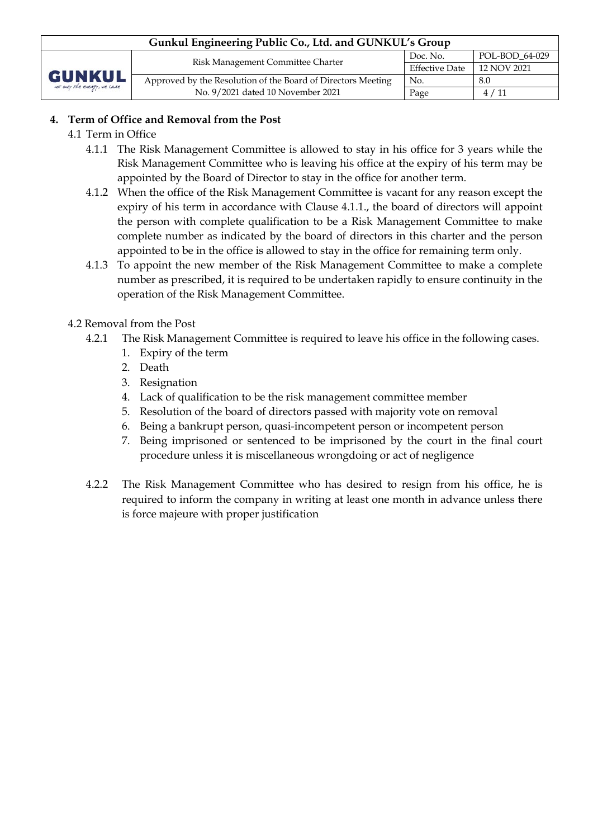# **4. Term of Office and Removal from the Post**

- 4.1 Term in Office
	- 4.1.1 The Risk Management Committee is allowed to stay in his office for 3 years while the Risk Management Committee who is leaving his office at the expiry of his term may be appointed by the Board of Director to stay in the office for another term.
	- 4.1.2 When the office of the Risk Management Committee is vacant for any reason except the expiry of his term in accordance with Clause 4.1.1., the board of directors will appoint the person with complete qualification to be a Risk Management Committee to make complete number as indicated by the board of directors in this charter and the person appointed to be in the office is allowed to stay in the office for remaining term only.
	- 4.1.3 To appoint the new member of the Risk Management Committee to make a complete number as prescribed, it is required to be undertaken rapidly to ensure continuity in the operation of the Risk Management Committee.

## 4.2 Removal from the Post

- 4.2.1 The Risk Management Committee is required to leave his office in the following cases.
	- 1. Expiry of the term
	- 2. Death
	- 3. Resignation
	- 4. Lack of qualification to be the risk management committee member
	- 5. Resolution of the board of directors passed with majority vote on removal
	- 6. Being a bankrupt person, quasi-incompetent person or incompetent person
	- 7. Being imprisoned or sentenced to be imprisoned by the court in the final court procedure unless it is miscellaneous wrongdoing or act of negligence
- 4.2.2 The Risk Management Committee who has desired to resign from his office, he is required to inform the company in writing at least one month in advance unless there is force majeure with proper justification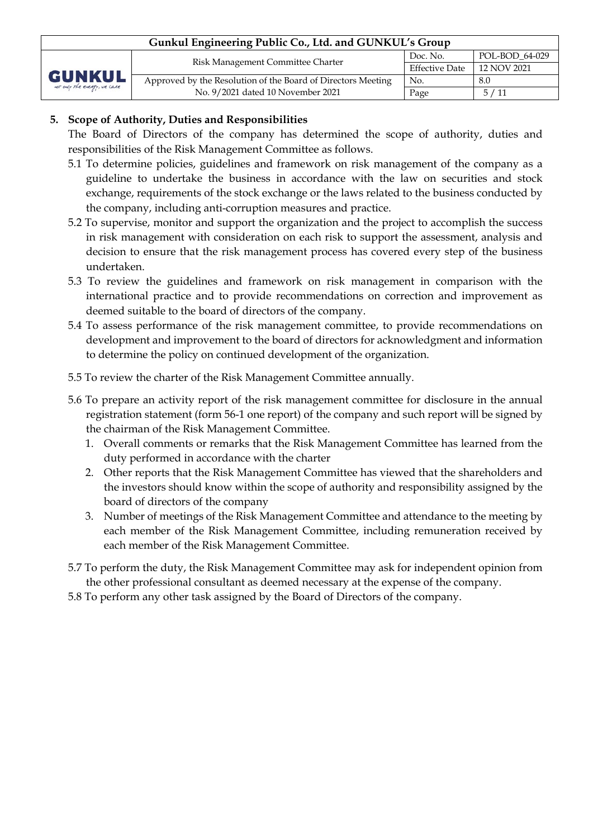| Gunkul Engineering Public Co., Ltd. and GUNKUL's Group |                                                              |                       |                |  |  |
|--------------------------------------------------------|--------------------------------------------------------------|-----------------------|----------------|--|--|
| <b>GUNKUL</b><br>not only the energy, we care          | Risk Management Committee Charter                            | Doc. No.              | POL-BOD 64-029 |  |  |
|                                                        |                                                              | <b>Effective Date</b> | 12 NOV 2021    |  |  |
|                                                        | Approved by the Resolution of the Board of Directors Meeting | No.                   | 8.0            |  |  |
|                                                        | No. 9/2021 dated 10 November 2021                            | Page                  | 5/11           |  |  |

## **5. Scope of Authority, Duties and Responsibilities**

The Board of Directors of the company has determined the scope of authority, duties and responsibilities of the Risk Management Committee as follows.

- 5.1 To determine policies, guidelines and framework on risk management of the company as a guideline to undertake the business in accordance with the law on securities and stock exchange, requirements of the stock exchange or the laws related to the business conducted by the company, including anti-corruption measures and practice.
- 5.2 To supervise, monitor and support the organization and the project to accomplish the success in risk management with consideration on each risk to support the assessment, analysis and decision to ensure that the risk management process has covered every step of the business undertaken.
- 5.3 To review the guidelines and framework on risk management in comparison with the international practice and to provide recommendations on correction and improvement as deemed suitable to the board of directors of the company.
- 5.4 To assess performance of the risk management committee, to provide recommendations on development and improvement to the board of directors for acknowledgment and information to determine the policy on continued development of the organization.
- 5.5 To review the charter of the Risk Management Committee annually.
- 5.6 To prepare an activity report of the risk management committee for disclosure in the annual registration statement (form 56-1 one report) of the company and such report will be signed by the chairman of the Risk Management Committee.
	- 1. Overall comments or remarks that the Risk Management Committee has learned from the duty performed in accordance with the charter
	- 2. Other reports that the Risk Management Committee has viewed that the shareholders and the investors should know within the scope of authority and responsibility assigned by the board of directors of the company
	- 3. Number of meetings of the Risk Management Committee and attendance to the meeting by each member of the Risk Management Committee, including remuneration received by each member of the Risk Management Committee.
- 5.7 To perform the duty, the Risk Management Committee may ask for independent opinion from the other professional consultant as deemed necessary at the expense of the company.
- 5.8 To perform any other task assigned by the Board of Directors of the company.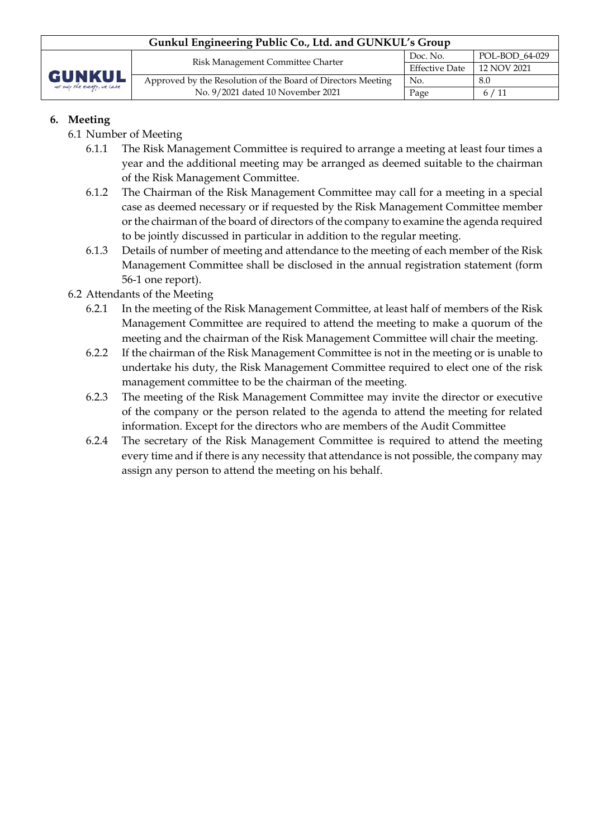| Gunkul Engineering Public Co., Ltd. and GUNKUL's Group |                                                              |                       |                |  |  |
|--------------------------------------------------------|--------------------------------------------------------------|-----------------------|----------------|--|--|
|                                                        | Risk Management Committee Charter                            | Doc. No.              | POL-BOD 64-029 |  |  |
| <b>GUNKUL</b><br>not only the energy, we care          |                                                              | <b>Effective Date</b> | 12 NOV 2021    |  |  |
|                                                        | Approved by the Resolution of the Board of Directors Meeting | No.                   | 8.0            |  |  |
|                                                        | No. 9/2021 dated 10 November 2021                            | Page                  | 6/11           |  |  |

## **6. Meeting**

- 6.1 Number of Meeting
	- 6.1.1 The Risk Management Committee is required to arrange a meeting at least four times a year and the additional meeting may be arranged as deemed suitable to the chairman of the Risk Management Committee.
	- 6.1.2 The Chairman of the Risk Management Committee may call for a meeting in a special case as deemed necessary or if requested by the Risk Management Committee member or the chairman of the board of directors of the company to examine the agenda required to be jointly discussed in particular in addition to the regular meeting.
	- 6.1.3 Details of number of meeting and attendance to the meeting of each member of the Risk Management Committee shall be disclosed in the annual registration statement (form 56-1 one report).
- 6.2 Attendants of the Meeting
	- 6.2.1 In the meeting of the Risk Management Committee, at least half of members of the Risk Management Committee are required to attend the meeting to make a quorum of the meeting and the chairman of the Risk Management Committee will chair the meeting.
	- 6.2.2 If the chairman of the Risk Management Committee is not in the meeting or is unable to undertake his duty, the Risk Management Committee required to elect one of the risk management committee to be the chairman of the meeting.
	- 6.2.3 The meeting of the Risk Management Committee may invite the director or executive of the company or the person related to the agenda to attend the meeting for related information. Except for the directors who are members of the Audit Committee
	- 6.2.4 The secretary of the Risk Management Committee is required to attend the meeting every time and if there is any necessity that attendance is not possible, the company may assign any person to attend the meeting on his behalf.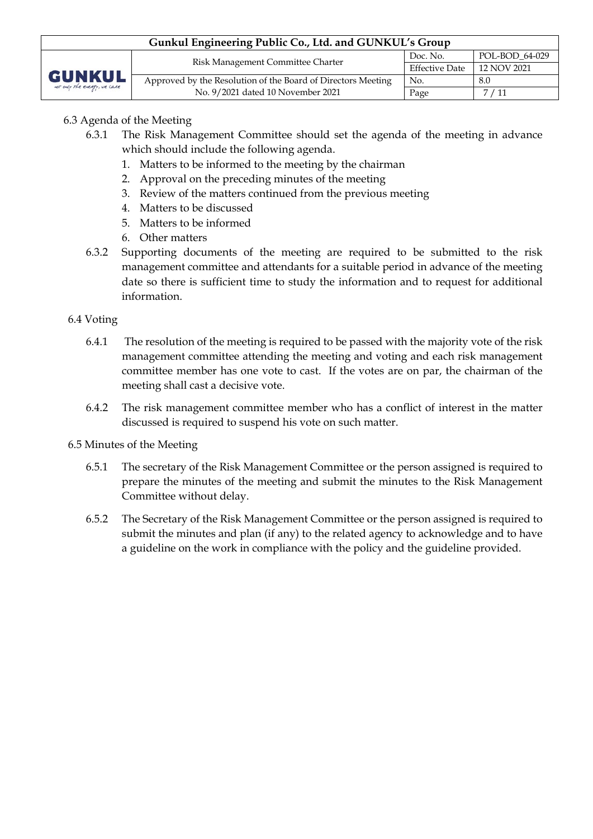| Gunkul Engineering Public Co., Ltd. and GUNKUL's Group |                                                              |                       |                |  |  |
|--------------------------------------------------------|--------------------------------------------------------------|-----------------------|----------------|--|--|
| <b>GUNKUL</b><br>not only the energy, we care          | Risk Management Committee Charter                            | Doc. No.              | POL-BOD 64-029 |  |  |
|                                                        |                                                              | <b>Effective Date</b> | 12 NOV 2021    |  |  |
|                                                        | Approved by the Resolution of the Board of Directors Meeting | No.                   | 8.0            |  |  |
|                                                        | No. 9/2021 dated 10 November 2021                            | Page                  | 7/11           |  |  |

## 6.3 Agenda of the Meeting

- 6.3.1 The Risk Management Committee should set the agenda of the meeting in advance which should include the following agenda.
	- 1. Matters to be informed to the meeting by the chairman
	- 2. Approval on the preceding minutes of the meeting
	- 3. Review of the matters continued from the previous meeting
	- 4. Matters to be discussed
	- 5. Matters to be informed
	- 6. Other matters
- 6.3.2 Supporting documents of the meeting are required to be submitted to the risk management committee and attendants for a suitable period in advance of the meeting date so there is sufficient time to study the information and to request for additional information.

## 6.4 Voting

- 6.4.1 The resolution of the meeting is required to be passed with the majority vote of the risk management committee attending the meeting and voting and each risk management committee member has one vote to cast. If the votes are on par, the chairman of the meeting shall cast a decisive vote.
- 6.4.2 The risk management committee member who has a conflict of interest in the matter discussed is required to suspend his vote on such matter.

## 6.5 Minutes of the Meeting

- 6.5.1 The secretary of the Risk Management Committee or the person assigned is required to prepare the minutes of the meeting and submit the minutes to the Risk Management Committee without delay.
- 6.5.2 The Secretary of the Risk Management Committee or the person assigned is required to submit the minutes and plan (if any) to the related agency to acknowledge and to have a guideline on the work in compliance with the policy and the guideline provided.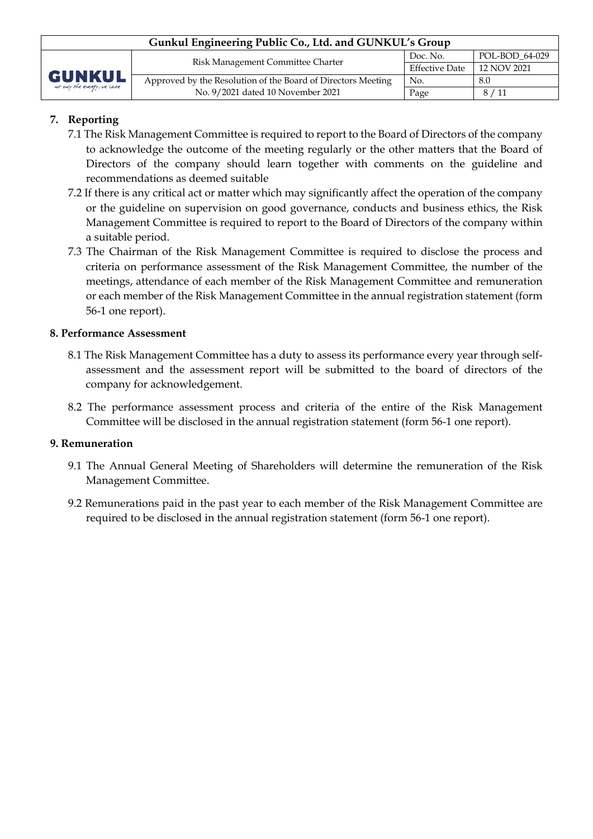| Gunkul Engineering Public Co., Ltd. and GUNKUL's Group |                                                              |                       |                |  |  |
|--------------------------------------------------------|--------------------------------------------------------------|-----------------------|----------------|--|--|
| <b>GUNKUL</b><br>not only the energy, we care          | Risk Management Committee Charter                            | Doc. No.              | POL-BOD 64-029 |  |  |
|                                                        |                                                              | <b>Effective Date</b> | 12 NOV 2021    |  |  |
|                                                        | Approved by the Resolution of the Board of Directors Meeting | No.                   | 8.0            |  |  |
|                                                        | No. 9/2021 dated 10 November 2021                            | Page                  | 8/11           |  |  |

# **7. Reporting**

- 7.1 The Risk Management Committee is required to report to the Board of Directors of the company to acknowledge the outcome of the meeting regularly or the other matters that the Board of Directors of the company should learn together with comments on the guideline and recommendations as deemed suitable
- 7.2 If there is any critical act or matter which may significantly affect the operation of the company or the guideline on supervision on good governance, conducts and business ethics, the Risk Management Committee is required to report to the Board of Directors of the company within a suitable period.
- 7.3 The Chairman of the Risk Management Committee is required to disclose the process and criteria on performance assessment of the Risk Management Committee, the number of the meetings, attendance of each member of the Risk Management Committee and remuneration or each member of the Risk Management Committee in the annual registration statement (form 56-1 one report).

## **8. Performance Assessment**

- 8.1 The Risk Management Committee has a duty to assess its performance every year through selfassessment and the assessment report will be submitted to the board of directors of the company for acknowledgement.
- 8.2 The performance assessment process and criteria of the entire of the Risk Management Committee will be disclosed in the annual registration statement (form 56-1 one report).

## **9. Remuneration**

- 9.1 The Annual General Meeting of Shareholders will determine the remuneration of the Risk Management Committee.
- 9.2 Remunerations paid in the past year to each member of the Risk Management Committee are required to be disclosed in the annual registration statement (form 56-1 one report).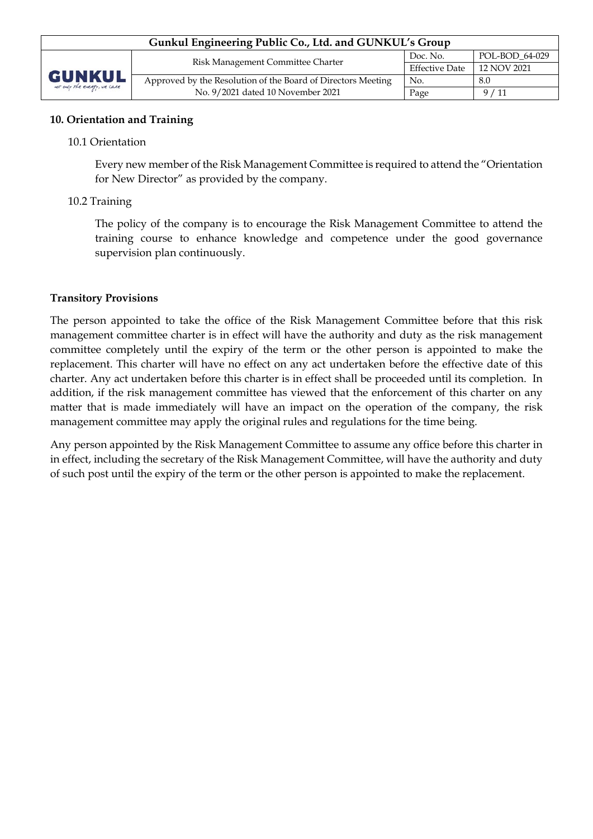## **10. Orientation and Training**

#### 10.1 Orientation

Every new member of the Risk Management Committee is required to attend the "Orientation for New Director" as provided by the company.

#### 10.2 Training

The policy of the company is to encourage the Risk Management Committee to attend the training course to enhance knowledge and competence under the good governance supervision plan continuously.

#### **Transitory Provisions**

The person appointed to take the office of the Risk Management Committee before that this risk management committee charter is in effect will have the authority and duty as the risk management committee completely until the expiry of the term or the other person is appointed to make the replacement. This charter will have no effect on any act undertaken before the effective date of this charter. Any act undertaken before this charter is in effect shall be proceeded until its completion. In addition, if the risk management committee has viewed that the enforcement of this charter on any matter that is made immediately will have an impact on the operation of the company, the risk management committee may apply the original rules and regulations for the time being.

Any person appointed by the Risk Management Committee to assume any office before this charter in in effect, including the secretary of the Risk Management Committee, will have the authority and duty of such post until the expiry of the term or the other person is appointed to make the replacement.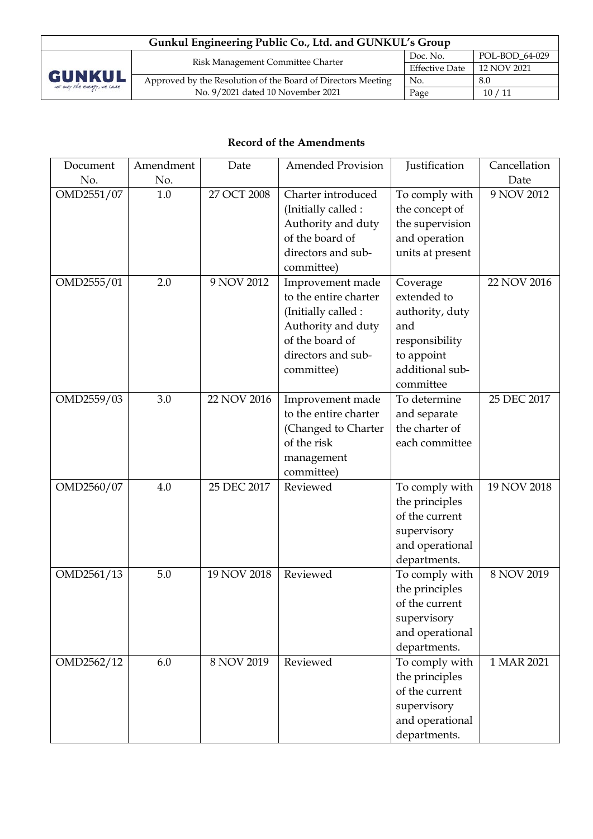| Gunkul Engineering Public Co., Ltd. and GUNKUL's Group |                                                              |                       |                |  |  |
|--------------------------------------------------------|--------------------------------------------------------------|-----------------------|----------------|--|--|
|                                                        | Risk Management Committee Charter                            | Doc. No.              | POL-BOD 64-029 |  |  |
| <b>GUNKUL</b><br>not only the energy, we care          |                                                              | <b>Effective Date</b> | 12 NOV 2021    |  |  |
|                                                        | Approved by the Resolution of the Board of Directors Meeting | No.                   | 8.0            |  |  |
|                                                        | No. 9/2021 dated 10 November 2021                            | Page                  | 10/11          |  |  |

# **Record of the Amendments**

| Document<br>No. | Amendment<br>No. | Date        | <b>Amended Provision</b> | Justification    | Cancellation<br>Date |
|-----------------|------------------|-------------|--------------------------|------------------|----------------------|
| OMD2551/07      | 1.0              | 27 OCT 2008 | Charter introduced       | To comply with   | 9 NOV 2012           |
|                 |                  |             | (Initially called :      | the concept of   |                      |
|                 |                  |             | Authority and duty       | the supervision  |                      |
|                 |                  |             | of the board of          | and operation    |                      |
|                 |                  |             | directors and sub-       | units at present |                      |
|                 |                  |             | committee)               |                  |                      |
| OMD2555/01      | 2.0              | 9 NOV 2012  | Improvement made         | Coverage         | 22 NOV 2016          |
|                 |                  |             | to the entire charter    | extended to      |                      |
|                 |                  |             | (Initially called :      | authority, duty  |                      |
|                 |                  |             | Authority and duty       | and              |                      |
|                 |                  |             | of the board of          | responsibility   |                      |
|                 |                  |             | directors and sub-       | to appoint       |                      |
|                 |                  |             | committee)               | additional sub-  |                      |
|                 |                  |             |                          | committee        |                      |
| OMD2559/03      | 3.0              | 22 NOV 2016 | Improvement made         | To determine     | 25 DEC 2017          |
|                 |                  |             | to the entire charter    | and separate     |                      |
|                 |                  |             | (Changed to Charter      | the charter of   |                      |
|                 |                  |             | of the risk              | each committee   |                      |
|                 |                  |             | management               |                  |                      |
|                 |                  |             | committee)               |                  |                      |
| OMD2560/07      | 4.0              | 25 DEC 2017 | Reviewed                 | To comply with   | 19 NOV 2018          |
|                 |                  |             |                          | the principles   |                      |
|                 |                  |             |                          | of the current   |                      |
|                 |                  |             |                          | supervisory      |                      |
|                 |                  |             |                          | and operational  |                      |
|                 |                  |             |                          | departments.     |                      |
| OMD2561/13      | 5.0              | 19 NOV 2018 | Reviewed                 | To comply with   | 8 NOV 2019           |
|                 |                  |             |                          | the principles   |                      |
|                 |                  |             |                          | of the current   |                      |
|                 |                  |             |                          | supervisory      |                      |
|                 |                  |             |                          | and operational  |                      |
|                 |                  |             |                          | departments.     |                      |
| OMD2562/12      | 6.0              | 8 NOV 2019  | Reviewed                 | To comply with   | 1 MAR 2021           |
|                 |                  |             |                          | the principles   |                      |
|                 |                  |             |                          | of the current   |                      |
|                 |                  |             |                          | supervisory      |                      |
|                 |                  |             |                          | and operational  |                      |
|                 |                  |             |                          | departments.     |                      |